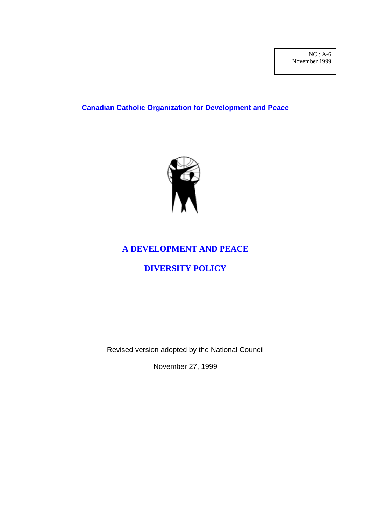# **Canadian Catholic Organization for Development and Peace**



## **A DEVELOPMENT AND PEACE**

# **DIVERSITY POLICY**

Revised version adopted by the National Council

November 27, 1999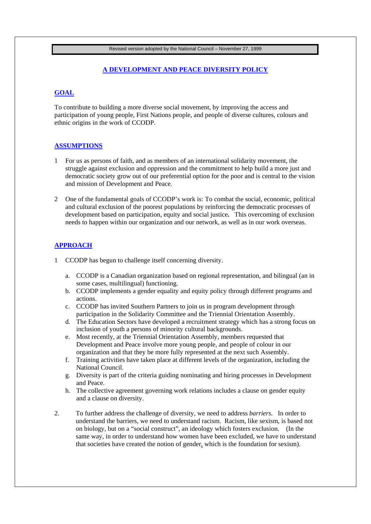Revised version adopted by the National Council – November 27, 1999

#### **A DEVELOPMENT AND PEACE DIVERSITY POLICY**

## **GOAL**

To contribute to building a more diverse social movement, by improving the access and participation of young people, First Nations people, and people of diverse cultures, colours and ethnic origins in the work of CCODP.

#### **ASSUMPTIONS**

- 1 For us as persons of faith, and as members of an international solidarity movement, the struggle against exclusion and oppression and the commitment to help build a more just and democratic society grow out of our preferential option for the poor and is central to the vision and mission of Development and Peace.
- 2 One of the fundamental goals of CCODP's work is: To combat the social, economic, political and cultural exclusion of the poorest populations by reinforcing the democratic processes of development based on participation, equity and social justice**.** This overcoming of exclusion needs to happen within our organization and our network, as well as in our work overseas.

#### **APPROACH**

- 1 CCODP has begun to challenge itself concerning diversity.
	- a. CCODP is a Canadian organization based on regional representation, and bilingual (an in some cases, multilingual) functioning.
	- b. CCODP implements a gender equality and equity policy through different programs and actions.
	- c. CCODP has invited Southern Partners to join us in program development through participation in the Solidarity Committee and the Triennial Orientation Assembly.
	- d. The Education Sectors have developed a recruitment strategy which has a strong focus on inclusion of youth a persons of minority cultural backgrounds.
	- e. Most recently, at the Triennial Orientation Assembly, members requested that Development and Peace involve more young people, and people of colour in our organization and that they be more fully represented at the next such Assembly.
	- f. Training activities have taken place at different levels of the organization, including the National Council.
	- g. Diversity is part of the criteria guiding nominating and hiring processes in Development and Peace.
	- h. The collective agreement governing work relations includes a clause on gender equity and a clause on diversity.
- 2. To further address the challenge of diversity, we need to address *barriers.* In order to understand the barriers, we need to understand racism. Racism, like sexism, is based not on biology, but on a "social construct", an ideology which fosters exclusion. (In the same way, in order to understand how women have been excluded, we have to understand that societies have created the notion of gender, which is the foundation for sexism).